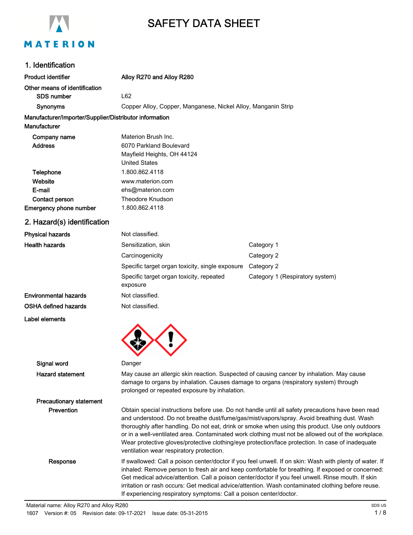

# SAFETY DATA SHEET

## 1. Identification

| ו ושטוווווישעווטו                                                             |                                                                                                                                                                                                                                    |                                                                                                                                                                                                                                                                                                                                                                                                                                                                                                               |  |  |
|-------------------------------------------------------------------------------|------------------------------------------------------------------------------------------------------------------------------------------------------------------------------------------------------------------------------------|---------------------------------------------------------------------------------------------------------------------------------------------------------------------------------------------------------------------------------------------------------------------------------------------------------------------------------------------------------------------------------------------------------------------------------------------------------------------------------------------------------------|--|--|
| <b>Product identifier</b>                                                     | Alloy R270 and Alloy R280                                                                                                                                                                                                          |                                                                                                                                                                                                                                                                                                                                                                                                                                                                                                               |  |  |
| Other means of identification                                                 |                                                                                                                                                                                                                                    |                                                                                                                                                                                                                                                                                                                                                                                                                                                                                                               |  |  |
| <b>SDS number</b>                                                             | L62                                                                                                                                                                                                                                |                                                                                                                                                                                                                                                                                                                                                                                                                                                                                                               |  |  |
| <b>Synonyms</b>                                                               |                                                                                                                                                                                                                                    | Copper Alloy, Copper, Manganese, Nickel Alloy, Manganin Strip                                                                                                                                                                                                                                                                                                                                                                                                                                                 |  |  |
| Manufacturer/Importer/Supplier/Distributor information<br><b>Manufacturer</b> |                                                                                                                                                                                                                                    |                                                                                                                                                                                                                                                                                                                                                                                                                                                                                                               |  |  |
| Company name<br><b>Address</b>                                                | Materion Brush Inc.<br>6070 Parkland Boulevard<br>Mayfield Heights, OH 44124<br><b>United States</b>                                                                                                                               |                                                                                                                                                                                                                                                                                                                                                                                                                                                                                                               |  |  |
| Telephone<br>Website<br>E-mail                                                | 1.800.862.4118<br>www.materion.com<br>ehs@materion.com                                                                                                                                                                             |                                                                                                                                                                                                                                                                                                                                                                                                                                                                                                               |  |  |
| <b>Contact person</b><br>Emergency phone number                               | Theodore Knudson<br>1.800.862.4118                                                                                                                                                                                                 |                                                                                                                                                                                                                                                                                                                                                                                                                                                                                                               |  |  |
| 2. Hazard(s) identification                                                   |                                                                                                                                                                                                                                    |                                                                                                                                                                                                                                                                                                                                                                                                                                                                                                               |  |  |
| <b>Physical hazards</b>                                                       | Not classified.                                                                                                                                                                                                                    |                                                                                                                                                                                                                                                                                                                                                                                                                                                                                                               |  |  |
| <b>Health hazards</b>                                                         | Sensitization, skin                                                                                                                                                                                                                | Category 1                                                                                                                                                                                                                                                                                                                                                                                                                                                                                                    |  |  |
|                                                                               | Carcinogenicity                                                                                                                                                                                                                    | Category 2                                                                                                                                                                                                                                                                                                                                                                                                                                                                                                    |  |  |
|                                                                               | Specific target organ toxicity, single exposure                                                                                                                                                                                    | Category 2                                                                                                                                                                                                                                                                                                                                                                                                                                                                                                    |  |  |
|                                                                               | Specific target organ toxicity, repeated<br>exposure                                                                                                                                                                               | Category 1 (Respiratory system)                                                                                                                                                                                                                                                                                                                                                                                                                                                                               |  |  |
| <b>Environmental hazards</b>                                                  | Not classified.                                                                                                                                                                                                                    |                                                                                                                                                                                                                                                                                                                                                                                                                                                                                                               |  |  |
| <b>OSHA defined hazards</b>                                                   | Not classified.                                                                                                                                                                                                                    |                                                                                                                                                                                                                                                                                                                                                                                                                                                                                                               |  |  |
| Label elements                                                                |                                                                                                                                                                                                                                    |                                                                                                                                                                                                                                                                                                                                                                                                                                                                                                               |  |  |
| Signal word                                                                   | Danger                                                                                                                                                                                                                             |                                                                                                                                                                                                                                                                                                                                                                                                                                                                                                               |  |  |
| <b>Hazard statement</b>                                                       | May cause an allergic skin reaction. Suspected of causing cancer by inhalation. May cause<br>damage to organs by inhalation. Causes damage to organs (respiratory system) through<br>prolonged or repeated exposure by inhalation. |                                                                                                                                                                                                                                                                                                                                                                                                                                                                                                               |  |  |
| <b>Precautionary statement</b>                                                |                                                                                                                                                                                                                                    |                                                                                                                                                                                                                                                                                                                                                                                                                                                                                                               |  |  |
| Prevention                                                                    | ventilation wear respiratory protection.                                                                                                                                                                                           | Obtain special instructions before use. Do not handle until all safety precautions have been read<br>and understood. Do not breathe dust/fume/gas/mist/vapors/spray. Avoid breathing dust. Wash<br>thoroughly after handling. Do not eat, drink or smoke when using this product. Use only outdoors<br>or in a well-ventilated area. Contaminated work clothing must not be allowed out of the workplace.<br>Wear protective gloves/protective clothing/eye protection/face protection. In case of inadequate |  |  |
| Response                                                                      |                                                                                                                                                                                                                                    | If swallowed: Call a poison center/doctor if you feel unwell. If on skin: Wash with plenty of water. If<br>inhaled: Remove person to fresh air and keep comfortable for breathing. If exposed or concerned:<br>Get medical advice/attention. Call a poison center/doctor if you feel unwell. Rinse mouth. If skin<br>irritation or rash occurs: Get medical advice/attention. Wash contaminated clothing before reuse.                                                                                        |  |  |

If experiencing respiratory symptoms: Call a poison center/doctor.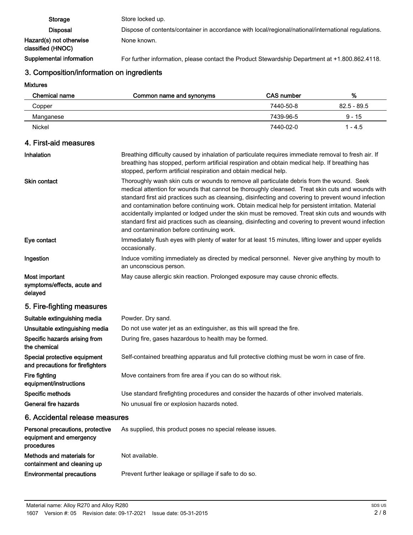Storage Store locked up. Disposal Dispose of contents/container in accordance with local/regional/national/international regulations. Hazard(s) not otherwise classified (HNOC) None known. Supplemental information For further information, please contact the Product Stewardship Department at +1.800.862.4118.

## 3. Composition/information on ingredients

Mixtures

| <b>Chemical name</b>                                                      | Common name and synonyms                                                                                                                                                                                                                                                                                                                                                                                                                                                                                                                                                                                                                                            | <b>CAS number</b> | %             |
|---------------------------------------------------------------------------|---------------------------------------------------------------------------------------------------------------------------------------------------------------------------------------------------------------------------------------------------------------------------------------------------------------------------------------------------------------------------------------------------------------------------------------------------------------------------------------------------------------------------------------------------------------------------------------------------------------------------------------------------------------------|-------------------|---------------|
| Copper                                                                    |                                                                                                                                                                                                                                                                                                                                                                                                                                                                                                                                                                                                                                                                     | 7440-50-8         | $82.5 - 89.5$ |
| Manganese                                                                 |                                                                                                                                                                                                                                                                                                                                                                                                                                                                                                                                                                                                                                                                     | 7439-96-5         | $9 - 15$      |
| Nickel                                                                    |                                                                                                                                                                                                                                                                                                                                                                                                                                                                                                                                                                                                                                                                     | 7440-02-0         | $1 - 4.5$     |
| 4. First-aid measures                                                     |                                                                                                                                                                                                                                                                                                                                                                                                                                                                                                                                                                                                                                                                     |                   |               |
| Inhalation                                                                | Breathing difficulty caused by inhalation of particulate requires immediate removal to fresh air. If<br>breathing has stopped, perform artificial respiration and obtain medical help. If breathing has<br>stopped, perform artificial respiration and obtain medical help.                                                                                                                                                                                                                                                                                                                                                                                         |                   |               |
| <b>Skin contact</b>                                                       | Thoroughly wash skin cuts or wounds to remove all particulate debris from the wound. Seek<br>medical attention for wounds that cannot be thoroughly cleansed. Treat skin cuts and wounds with<br>standard first aid practices such as cleansing, disinfecting and covering to prevent wound infection<br>and contamination before continuing work. Obtain medical help for persistent irritation. Material<br>accidentally implanted or lodged under the skin must be removed. Treat skin cuts and wounds with<br>standard first aid practices such as cleansing, disinfecting and covering to prevent wound infection<br>and contamination before continuing work. |                   |               |
| Eye contact                                                               | Immediately flush eyes with plenty of water for at least 15 minutes, lifting lower and upper eyelids<br>occasionally.                                                                                                                                                                                                                                                                                                                                                                                                                                                                                                                                               |                   |               |
| Ingestion                                                                 | Induce vomiting immediately as directed by medical personnel. Never give anything by mouth to<br>an unconscious person.                                                                                                                                                                                                                                                                                                                                                                                                                                                                                                                                             |                   |               |
| Most important<br>symptoms/effects, acute and<br>delayed                  | May cause allergic skin reaction. Prolonged exposure may cause chronic effects.                                                                                                                                                                                                                                                                                                                                                                                                                                                                                                                                                                                     |                   |               |
| 5. Fire-fighting measures                                                 |                                                                                                                                                                                                                                                                                                                                                                                                                                                                                                                                                                                                                                                                     |                   |               |
| Suitable extinguishing media                                              | Powder. Dry sand.                                                                                                                                                                                                                                                                                                                                                                                                                                                                                                                                                                                                                                                   |                   |               |
| Unsuitable extinguishing media                                            | Do not use water jet as an extinguisher, as this will spread the fire.                                                                                                                                                                                                                                                                                                                                                                                                                                                                                                                                                                                              |                   |               |
| Specific hazards arising from<br>the chemical                             | During fire, gases hazardous to health may be formed.                                                                                                                                                                                                                                                                                                                                                                                                                                                                                                                                                                                                               |                   |               |
| Special protective equipment<br>and precautions for firefighters          | Self-contained breathing apparatus and full protective clothing must be worn in case of fire.                                                                                                                                                                                                                                                                                                                                                                                                                                                                                                                                                                       |                   |               |
| <b>Fire fighting</b><br>equipment/instructions                            | Move containers from fire area if you can do so without risk.                                                                                                                                                                                                                                                                                                                                                                                                                                                                                                                                                                                                       |                   |               |
| Specific methods                                                          | Use standard firefighting procedures and consider the hazards of other involved materials.                                                                                                                                                                                                                                                                                                                                                                                                                                                                                                                                                                          |                   |               |
| <b>General fire hazards</b>                                               | No unusual fire or explosion hazards noted.                                                                                                                                                                                                                                                                                                                                                                                                                                                                                                                                                                                                                         |                   |               |
| 6. Accidental release measures                                            |                                                                                                                                                                                                                                                                                                                                                                                                                                                                                                                                                                                                                                                                     |                   |               |
| Personal precautions, protective<br>equipment and emergency<br>procedures | As supplied, this product poses no special release issues.                                                                                                                                                                                                                                                                                                                                                                                                                                                                                                                                                                                                          |                   |               |
| Methods and materials for<br>containment and cleaning up                  | Not available.                                                                                                                                                                                                                                                                                                                                                                                                                                                                                                                                                                                                                                                      |                   |               |
| <b>Environmental precautions</b>                                          | Prevent further leakage or spillage if safe to do so.                                                                                                                                                                                                                                                                                                                                                                                                                                                                                                                                                                                                               |                   |               |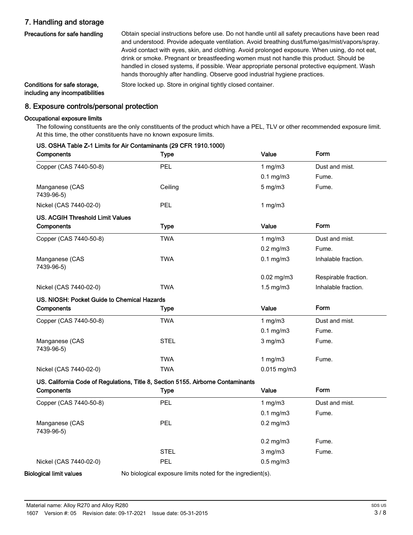## 7. Handling and storage

Precautions for safe handling

Obtain special instructions before use. Do not handle until all safety precautions have been read and understood. Provide adequate ventilation. Avoid breathing dust/fume/gas/mist/vapors/spray. Avoid contact with eyes, skin, and clothing. Avoid prolonged exposure. When using, do not eat, drink or smoke. Pregnant or breastfeeding women must not handle this product. Should be handled in closed systems, if possible. Wear appropriate personal protective equipment. Wash hands thoroughly after handling. Observe good industrial hygiene practices.

including any incompatibilities

Conditions for safe storage, Store locked up. Store in original tightly closed container.

### 8. Exposure controls/personal protection

US. OSHA Table Z-1 Limits for Air Contaminants (29 CFR 1910.1000)

#### Occupational exposure limits

The following constituents are the only constituents of the product which have a PEL, TLV or other recommended exposure limit. At this time, the other constituents have no known exposure limits.

| Components                                  | <b>Type</b>                                                                      | Value           | Form                 |
|---------------------------------------------|----------------------------------------------------------------------------------|-----------------|----------------------|
| Copper (CAS 7440-50-8)                      | PEL                                                                              | 1 $mg/m3$       | Dust and mist.       |
|                                             |                                                                                  | $0.1$ mg/m $3$  | Fume.                |
| Manganese (CAS<br>7439-96-5)                | Ceiling                                                                          | $5$ mg/m $3$    | Fume.                |
| Nickel (CAS 7440-02-0)                      | PEL                                                                              | 1 $mg/m3$       |                      |
| <b>US. ACGIH Threshold Limit Values</b>     |                                                                                  |                 |                      |
| Components                                  | <b>Type</b>                                                                      | Value           | Form                 |
| Copper (CAS 7440-50-8)                      | <b>TWA</b>                                                                       | 1 $mg/m3$       | Dust and mist.       |
|                                             |                                                                                  | $0.2$ mg/m $3$  | Fume.                |
| Manganese (CAS<br>7439-96-5)                | <b>TWA</b>                                                                       | $0.1$ mg/m $3$  | Inhalable fraction.  |
|                                             |                                                                                  | $0.02$ mg/m $3$ | Respirable fraction. |
| Nickel (CAS 7440-02-0)                      | <b>TWA</b>                                                                       | $1.5$ mg/m $3$  | Inhalable fraction.  |
| US. NIOSH: Pocket Guide to Chemical Hazards |                                                                                  |                 |                      |
| Components                                  | <b>Type</b>                                                                      | Value           | Form                 |
| Copper (CAS 7440-50-8)                      | <b>TWA</b>                                                                       | 1 $mg/m3$       | Dust and mist.       |
|                                             |                                                                                  | $0.1$ mg/m $3$  | Fume.                |
| Manganese (CAS<br>7439-96-5)                | <b>STEL</b>                                                                      | $3$ mg/m $3$    | Fume.                |
|                                             | <b>TWA</b>                                                                       | 1 $mg/m3$       | Fume.                |
| Nickel (CAS 7440-02-0)                      | <b>TWA</b>                                                                       | $0.015$ mg/m3   |                      |
|                                             | US. California Code of Regulations, Title 8, Section 5155. Airborne Contaminants |                 |                      |
| Components                                  | <b>Type</b>                                                                      | Value           | Form                 |
| Copper (CAS 7440-50-8)                      | PEL                                                                              | 1 $mg/m3$       | Dust and mist.       |
|                                             |                                                                                  | $0.1$ mg/m $3$  | Fume.                |
| Manganese (CAS<br>7439-96-5)                | PEL                                                                              | $0.2$ mg/m $3$  |                      |
|                                             |                                                                                  | $0.2$ mg/m $3$  | Fume.                |
|                                             | <b>STEL</b>                                                                      | $3$ mg/m $3$    | Fume.                |
| Nickel (CAS 7440-02-0)                      | PEL                                                                              | $0.5$ mg/m $3$  |                      |
| <b>Biological limit values</b>              | No biological exposure limits noted for the ingredient(s).                       |                 |                      |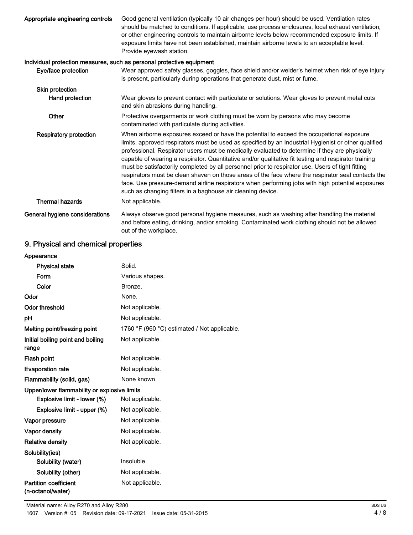| Appropriate engineering controls | Good general ventilation (typically 10 air changes per hour) should be used. Ventilation rates<br>should be matched to conditions. If applicable, use process enclosures, local exhaust ventilation,<br>or other engineering controls to maintain airborne levels below recommended exposure limits. If<br>exposure limits have not been established, maintain airborne levels to an acceptable level.<br>Provide eyewash station.                                                                                                                                                                                                                                                                                                                                                       |
|----------------------------------|------------------------------------------------------------------------------------------------------------------------------------------------------------------------------------------------------------------------------------------------------------------------------------------------------------------------------------------------------------------------------------------------------------------------------------------------------------------------------------------------------------------------------------------------------------------------------------------------------------------------------------------------------------------------------------------------------------------------------------------------------------------------------------------|
|                                  | Individual protection measures, such as personal protective equipment                                                                                                                                                                                                                                                                                                                                                                                                                                                                                                                                                                                                                                                                                                                    |
| Eye/face protection              | Wear approved safety glasses, goggles, face shield and/or welder's helmet when risk of eye injury<br>is present, particularly during operations that generate dust, mist or fume.                                                                                                                                                                                                                                                                                                                                                                                                                                                                                                                                                                                                        |
| Skin protection                  |                                                                                                                                                                                                                                                                                                                                                                                                                                                                                                                                                                                                                                                                                                                                                                                          |
| Hand protection                  | Wear gloves to prevent contact with particulate or solutions. Wear gloves to prevent metal cuts<br>and skin abrasions during handling.                                                                                                                                                                                                                                                                                                                                                                                                                                                                                                                                                                                                                                                   |
| Other                            | Protective overgarments or work clothing must be worn by persons who may become<br>contaminated with particulate during activities.                                                                                                                                                                                                                                                                                                                                                                                                                                                                                                                                                                                                                                                      |
| <b>Respiratory protection</b>    | When airborne exposures exceed or have the potential to exceed the occupational exposure<br>limits, approved respirators must be used as specified by an Industrial Hygienist or other qualified<br>professional. Respirator users must be medically evaluated to determine if they are physically<br>capable of wearing a respirator. Quantitative and/or qualitative fit testing and respirator training<br>must be satisfactorily completed by all personnel prior to respirator use. Users of tight fitting<br>respirators must be clean shaven on those areas of the face where the respirator seal contacts the<br>face. Use pressure-demand airline respirators when performing jobs with high potential exposures<br>such as changing filters in a baghouse air cleaning device. |
| <b>Thermal hazards</b>           | Not applicable.                                                                                                                                                                                                                                                                                                                                                                                                                                                                                                                                                                                                                                                                                                                                                                          |
| General hygiene considerations   | Always observe good personal hygiene measures, such as washing after handling the material<br>and before eating, drinking, and/or smoking. Contaminated work clothing should not be allowed<br>out of the workplace.                                                                                                                                                                                                                                                                                                                                                                                                                                                                                                                                                                     |

## 9. Physical and chemical properties

| Appearance                                        |                                              |
|---------------------------------------------------|----------------------------------------------|
| <b>Physical state</b>                             | Solid.                                       |
| Form                                              | Various shapes.                              |
| Color                                             | Bronze.                                      |
| Odor                                              | None.                                        |
| <b>Odor threshold</b>                             | Not applicable.                              |
| рH                                                | Not applicable.                              |
| Melting point/freezing point                      | 1760 °F (960 °C) estimated / Not applicable. |
| Initial boiling point and boiling<br>range        | Not applicable.                              |
| Flash point                                       | Not applicable.                              |
| <b>Evaporation rate</b>                           | Not applicable.                              |
| Flammability (solid, gas)                         | None known.                                  |
| Upper/lower flammability or explosive limits      |                                              |
| Explosive limit - lower (%)                       | Not applicable.                              |
| Explosive limit - upper (%)                       | Not applicable.                              |
| Vapor pressure                                    | Not applicable.                              |
| <b>Vapor density</b>                              | Not applicable.                              |
| <b>Relative density</b>                           | Not applicable.                              |
| Solubility(ies)                                   |                                              |
| Solubility (water)                                | Insoluble.                                   |
| Solubility (other)                                | Not applicable.                              |
| <b>Partition coefficient</b><br>(n-octanol/water) | Not applicable.                              |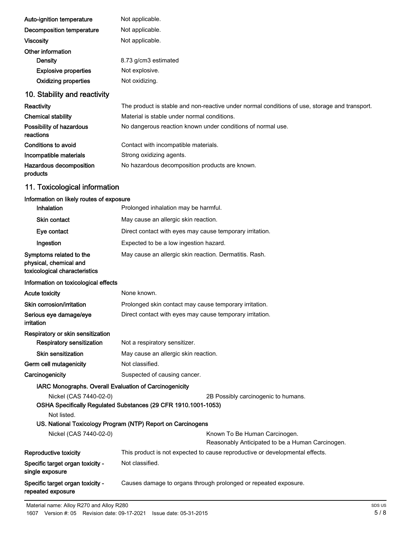| Auto-ignition temperature                | Not applicable.                                                                               |
|------------------------------------------|-----------------------------------------------------------------------------------------------|
| Decomposition temperature                | Not applicable.                                                                               |
| <b>Viscosity</b>                         | Not applicable.                                                                               |
| Other information                        |                                                                                               |
| Density                                  | 8.73 g/cm3 estimated                                                                          |
| <b>Explosive properties</b>              | Not explosive.                                                                                |
| <b>Oxidizing properties</b>              | Not oxidizing.                                                                                |
| 10. Stability and reactivity             |                                                                                               |
| Reactivity                               | The product is stable and non-reactive under normal conditions of use, storage and transport. |
| <b>Chemical stability</b>                | Material is stable under normal conditions.                                                   |
| Possibility of hazardous<br>reactions    | No dangerous reaction known under conditions of normal use.                                   |
| Conditions to avoid                      | Contact with incompatible materials.                                                          |
| Incompatible materials                   | Strong oxidizing agents.                                                                      |
| Hazardous decomposition<br>products      | No hazardous decomposition products are known.                                                |
| 11. Toxicological information            |                                                                                               |
| Information on likely routes of exposure |                                                                                               |

| ויווסוווענוסוו סוו וווסון וטענטט טו סאטטוו                                         |                                                                                   |  |  |
|------------------------------------------------------------------------------------|-----------------------------------------------------------------------------------|--|--|
| Inhalation                                                                         | Prolonged inhalation may be harmful.                                              |  |  |
| Skin contact                                                                       | May cause an allergic skin reaction.                                              |  |  |
| Eye contact                                                                        | Direct contact with eyes may cause temporary irritation.                          |  |  |
| Ingestion                                                                          | Expected to be a low ingestion hazard.                                            |  |  |
| Symptoms related to the<br>physical, chemical and<br>toxicological characteristics | May cause an allergic skin reaction. Dermatitis. Rash.                            |  |  |
| Information on toxicological effects                                               |                                                                                   |  |  |
| <b>Acute toxicity</b>                                                              | None known.                                                                       |  |  |
| Skin corrosion/irritation                                                          | Prolonged skin contact may cause temporary irritation.                            |  |  |
| Serious eye damage/eye<br><b>irritation</b>                                        | Direct contact with eyes may cause temporary irritation.                          |  |  |
| Respiratory or skin sensitization                                                  |                                                                                   |  |  |
| <b>Respiratory sensitization</b>                                                   | Not a respiratory sensitizer.                                                     |  |  |
| <b>Skin sensitization</b>                                                          | May cause an allergic skin reaction.                                              |  |  |
| Germ cell mutagenicity                                                             | Not classified.                                                                   |  |  |
| Carcinogenicity                                                                    | Suspected of causing cancer.                                                      |  |  |
| IARC Monographs. Overall Evaluation of Carcinogenicity                             |                                                                                   |  |  |
| Nickel (CAS 7440-02-0)                                                             | 2B Possibly carcinogenic to humans.                                               |  |  |
|                                                                                    | OSHA Specifically Regulated Substances (29 CFR 1910.1001-1053)                    |  |  |
| Not listed.                                                                        |                                                                                   |  |  |
|                                                                                    | US. National Toxicology Program (NTP) Report on Carcinogens                       |  |  |
| Nickel (CAS 7440-02-0)                                                             | Known To Be Human Carcinogen.<br>Reasonably Anticipated to be a Human Carcinogen. |  |  |
| Reproductive toxicity                                                              | This product is not expected to cause reproductive or developmental effects.      |  |  |
| Specific target organ toxicity -<br>single exposure                                | Not classified.                                                                   |  |  |
| Specific target organ toxicity -                                                   | Causes damage to organs through prolonged or repeated exposure.                   |  |  |

Specific target organ toxicity repeated exposure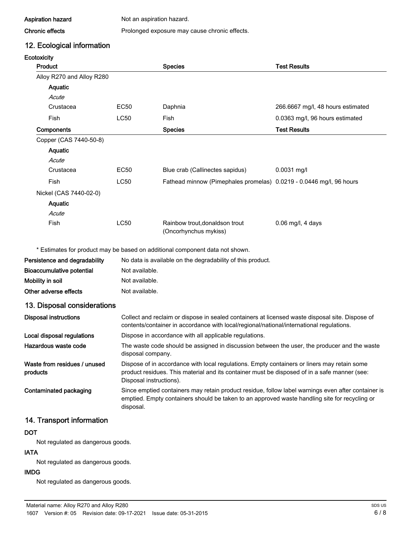Aspiration hazard Not an aspiration hazard.

#### Chronic effects **Prolonged exposure may cause chronic effects.**

12. Ecological information

#### **Ecotoxicity**

| <b>Product</b>                           |                   | <b>Species</b>                                                                                                                                                                                                         | <b>Test Results</b>               |
|------------------------------------------|-------------------|------------------------------------------------------------------------------------------------------------------------------------------------------------------------------------------------------------------------|-----------------------------------|
| Alloy R270 and Alloy R280                |                   |                                                                                                                                                                                                                        |                                   |
| Aquatic                                  |                   |                                                                                                                                                                                                                        |                                   |
| Acute                                    |                   |                                                                                                                                                                                                                        |                                   |
| Crustacea                                | <b>EC50</b>       | Daphnia                                                                                                                                                                                                                | 266.6667 mg/l, 48 hours estimated |
| Fish                                     | LC50              | Fish                                                                                                                                                                                                                   | 0.0363 mg/l, 96 hours estimated   |
| Components                               |                   | <b>Species</b>                                                                                                                                                                                                         | <b>Test Results</b>               |
| Copper (CAS 7440-50-8)                   |                   |                                                                                                                                                                                                                        |                                   |
| Aquatic                                  |                   |                                                                                                                                                                                                                        |                                   |
| Acute                                    |                   |                                                                                                                                                                                                                        |                                   |
| Crustacea                                | EC50              | Blue crab (Callinectes sapidus)                                                                                                                                                                                        | $0.0031$ mg/l                     |
| Fish                                     | LC50              | Fathead minnow (Pimephales promelas) 0.0219 - 0.0446 mg/l, 96 hours                                                                                                                                                    |                                   |
| Nickel (CAS 7440-02-0)                   |                   |                                                                                                                                                                                                                        |                                   |
| Aquatic                                  |                   |                                                                                                                                                                                                                        |                                   |
| Acute                                    |                   |                                                                                                                                                                                                                        |                                   |
| Fish                                     | <b>LC50</b>       | Rainbow trout, donaldson trout<br>(Oncorhynchus mykiss)                                                                                                                                                                | 0.06 mg/l, 4 days                 |
|                                          |                   | * Estimates for product may be based on additional component data not shown.                                                                                                                                           |                                   |
| Persistence and degradability            |                   | No data is available on the degradability of this product.                                                                                                                                                             |                                   |
| <b>Bioaccumulative potential</b>         | Not available.    |                                                                                                                                                                                                                        |                                   |
| Mobility in soil                         | Not available.    |                                                                                                                                                                                                                        |                                   |
| Other adverse effects                    | Not available.    |                                                                                                                                                                                                                        |                                   |
| 13. Disposal considerations              |                   |                                                                                                                                                                                                                        |                                   |
| <b>Disposal instructions</b>             |                   | Collect and reclaim or dispose in sealed containers at licensed waste disposal site. Dispose of<br>contents/container in accordance with local/regional/national/international regulations.                            |                                   |
| Local disposal regulations               |                   | Dispose in accordance with all applicable regulations.                                                                                                                                                                 |                                   |
| Hazardous waste code                     | disposal company. | The waste code should be assigned in discussion between the user, the producer and the waste                                                                                                                           |                                   |
| Waste from residues / unused<br>products |                   | Dispose of in accordance with local regulations. Empty containers or liners may retain some<br>product residues. This material and its container must be disposed of in a safe manner (see:<br>Disposal instructions). |                                   |

Contaminated packaging

Since emptied containers may retain product residue, follow label warnings even after container is emptied. Empty containers should be taken to an approved waste handling site for recycling or disposal.

## 14. Transport information

#### **DOT**

Not regulated as dangerous goods.

#### IATA

Not regulated as dangerous goods.

#### IMDG

Not regulated as dangerous goods.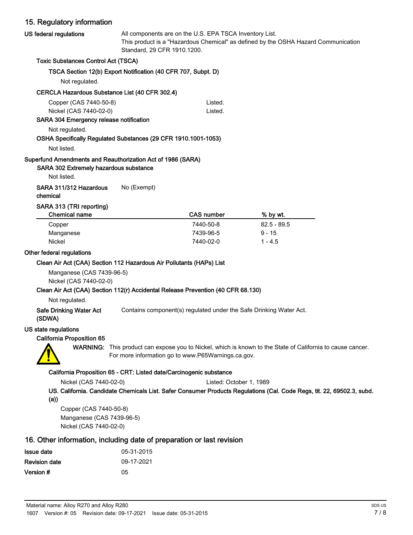## 15. Regulatory information

| 15. Regulatory information                                                                                           |                                                                                                                                                                              |                                                                                  |                                                                                                                        |  |
|----------------------------------------------------------------------------------------------------------------------|------------------------------------------------------------------------------------------------------------------------------------------------------------------------------|----------------------------------------------------------------------------------|------------------------------------------------------------------------------------------------------------------------|--|
| US federal regulations                                                                                               | All components are on the U.S. EPA TSCA Inventory List.<br>This product is a "Hazardous Chemical" as defined by the OSHA Hazard Communication<br>Standard, 29 CFR 1910.1200. |                                                                                  |                                                                                                                        |  |
| <b>Toxic Substances Control Act (TSCA)</b>                                                                           |                                                                                                                                                                              |                                                                                  |                                                                                                                        |  |
|                                                                                                                      | TSCA Section 12(b) Export Notification (40 CFR 707, Subpt. D)                                                                                                                |                                                                                  |                                                                                                                        |  |
| Not regulated.                                                                                                       |                                                                                                                                                                              |                                                                                  |                                                                                                                        |  |
| <b>CERCLA Hazardous Substance List (40 CFR 302.4)</b>                                                                |                                                                                                                                                                              |                                                                                  |                                                                                                                        |  |
| Copper (CAS 7440-50-8)<br>Nickel (CAS 7440-02-0)<br>SARA 304 Emergency release notification                          |                                                                                                                                                                              | Listed.<br>Listed.                                                               |                                                                                                                        |  |
| Not regulated.                                                                                                       |                                                                                                                                                                              |                                                                                  |                                                                                                                        |  |
| OSHA Specifically Regulated Substances (29 CFR 1910.1001-1053)                                                       |                                                                                                                                                                              |                                                                                  |                                                                                                                        |  |
| Not listed.                                                                                                          |                                                                                                                                                                              |                                                                                  |                                                                                                                        |  |
| Superfund Amendments and Reauthorization Act of 1986 (SARA)<br>SARA 302 Extremely hazardous substance<br>Not listed. |                                                                                                                                                                              |                                                                                  |                                                                                                                        |  |
| SARA 311/312 Hazardous<br>chemical                                                                                   | No (Exempt)                                                                                                                                                                  |                                                                                  |                                                                                                                        |  |
| SARA 313 (TRI reporting)<br><b>Chemical name</b>                                                                     |                                                                                                                                                                              | <b>CAS number</b>                                                                | % by wt.                                                                                                               |  |
| Copper                                                                                                               |                                                                                                                                                                              | 7440-50-8                                                                        | $82.5 - 89.5$                                                                                                          |  |
| Manganese                                                                                                            |                                                                                                                                                                              | 7439-96-5                                                                        | $9 - 15$                                                                                                               |  |
| <b>Nickel</b>                                                                                                        |                                                                                                                                                                              | 7440-02-0                                                                        | $1 - 4.5$                                                                                                              |  |
| Other federal regulations                                                                                            |                                                                                                                                                                              |                                                                                  |                                                                                                                        |  |
| Clean Air Act (CAA) Section 112 Hazardous Air Pollutants (HAPs) List                                                 |                                                                                                                                                                              |                                                                                  |                                                                                                                        |  |
| Manganese (CAS 7439-96-5)<br>Nickel (CAS 7440-02-0)                                                                  |                                                                                                                                                                              |                                                                                  |                                                                                                                        |  |
|                                                                                                                      |                                                                                                                                                                              | Clean Air Act (CAA) Section 112(r) Accidental Release Prevention (40 CFR 68.130) |                                                                                                                        |  |
| Not regulated.<br><b>Safe Drinking Water Act</b><br>(SDWA)                                                           |                                                                                                                                                                              | Contains component(s) regulated under the Safe Drinking Water Act.               |                                                                                                                        |  |
| US state regulations                                                                                                 |                                                                                                                                                                              |                                                                                  |                                                                                                                        |  |
| <b>California Proposition 65</b>                                                                                     |                                                                                                                                                                              |                                                                                  |                                                                                                                        |  |
|                                                                                                                      |                                                                                                                                                                              | For more information go to www.P65Warnings.ca.gov.                               | WARNING: This product can expose you to Nickel, which is known to the State of California to cause cancer.             |  |
|                                                                                                                      | California Proposition 65 - CRT: Listed date/Carcinogenic substance                                                                                                          |                                                                                  |                                                                                                                        |  |
| Nickel (CAS 7440-02-0)                                                                                               |                                                                                                                                                                              | Listed: October 1, 1989                                                          |                                                                                                                        |  |
| (a))                                                                                                                 |                                                                                                                                                                              |                                                                                  | US. California. Candidate Chemicals List. Safer Consumer Products Regulations (Cal. Code Regs, tit. 22, 69502.3, subd. |  |
| Copper (CAS 7440-50-8)                                                                                               |                                                                                                                                                                              |                                                                                  |                                                                                                                        |  |
|                                                                                                                      | $A \cap Z$ 400.00 $R$                                                                                                                                                        |                                                                                  |                                                                                                                        |  |

Manganese (CAS 7439-96-5) Nickel (CAS 7440-02-0)

## 16. Other information, including date of preparation or last revision

| Issue date           | 05-31-2015 |
|----------------------|------------|
| <b>Revision date</b> | 09-17-2021 |
| Version #            | 05         |